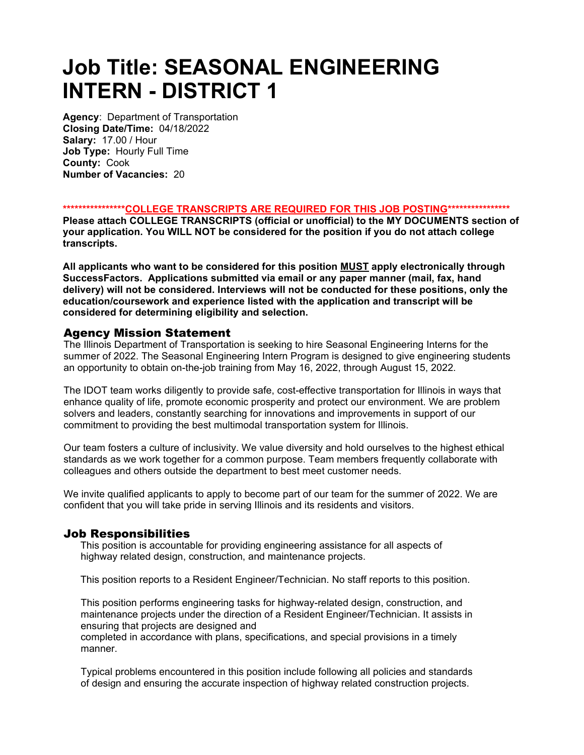# Job Title: SEASONAL ENGINEERING INTERN - DISTRICT 1

Agency: Department of Transportation Closing Date/Time: 04/18/2022 Salary: 17.00 / Hour Job Type: Hourly Full Time County: Cook Number of Vacancies: 20

#### \*\*\*\*\*\*\*\*\*\*\*\*\*\*\*\*\*\*COLLEGE TRANSCRIPTS ARE REQUIRED FOR THIS JOB POSTING\*\*\*\*\*\*\*\*\*\*\*\*\*\*\*\*\*

Please attach COLLEGE TRANSCRIPTS (official or unofficial) to the MY DOCUMENTS section of your application. You WILL NOT be considered for the position if you do not attach college transcripts.

All applicants who want to be considered for this position MUST apply electronically through SuccessFactors. Applications submitted via email or any paper manner (mail, fax, hand delivery) will not be considered. Interviews will not be conducted for these positions, only the education/coursework and experience listed with the application and transcript will be considered for determining eligibility and selection.

## Agency Mission Statement

The Illinois Department of Transportation is seeking to hire Seasonal Engineering Interns for the summer of 2022. The Seasonal Engineering Intern Program is designed to give engineering students an opportunity to obtain on-the-job training from May 16, 2022, through August 15, 2022.

The IDOT team works diligently to provide safe, cost-effective transportation for Illinois in ways that enhance quality of life, promote economic prosperity and protect our environment. We are problem solvers and leaders, constantly searching for innovations and improvements in support of our commitment to providing the best multimodal transportation system for Illinois.

Our team fosters a culture of inclusivity. We value diversity and hold ourselves to the highest ethical standards as we work together for a common purpose. Team members frequently collaborate with colleagues and others outside the department to best meet customer needs.

We invite qualified applicants to apply to become part of our team for the summer of 2022. We are confident that you will take pride in serving Illinois and its residents and visitors.

## Job Responsibilities

This position is accountable for providing engineering assistance for all aspects of highway related design, construction, and maintenance projects.

This position reports to a Resident Engineer/Technician. No staff reports to this position.

This position performs engineering tasks for highway-related design, construction, and maintenance projects under the direction of a Resident Engineer/Technician. It assists in ensuring that projects are designed and

completed in accordance with plans, specifications, and special provisions in a timely manner.

Typical problems encountered in this position include following all policies and standards of design and ensuring the accurate inspection of highway related construction projects.